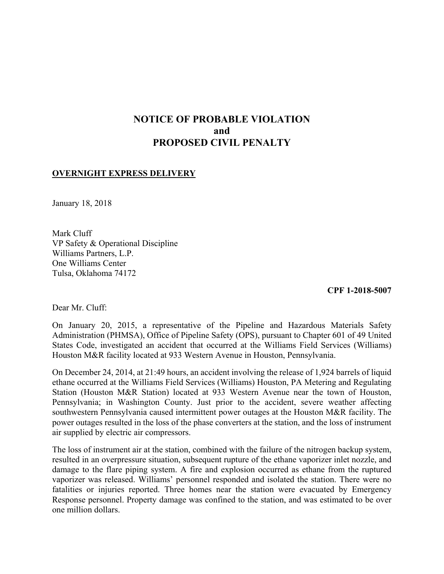# **NOTICE OF PROBABLE VIOLATION and PROPOSED CIVIL PENALTY**

## **OVERNIGHT EXPRESS DELIVERY**

January 18, 2018

Mark Cluff VP Safety & Operational Discipline Williams Partners, L.P. One Williams Center Tulsa, Oklahoma 74172

**CPF 1-2018-5007** 

Dear Mr. Cluff:

On January 20, 2015, a representative of the Pipeline and Hazardous Materials Safety Administration (PHMSA), Office of Pipeline Safety (OPS), pursuant to Chapter 601 of 49 United States Code, investigated an accident that occurred at the Williams Field Services (Williams) Houston M&R facility located at 933 Western Avenue in Houston, Pennsylvania.

 ethane occurred at the Williams Field Services (Williams) Houston, PA Metering and Regulating On December 24, 2014, at 21:49 hours, an accident involving the release of 1,924 barrels of liquid Station (Houston M&R Station) located at 933 Western Avenue near the town of Houston, Pennsylvania; in Washington County. Just prior to the accident, severe weather affecting southwestern Pennsylvania caused intermittent power outages at the Houston M&R facility. The power outages resulted in the loss of the phase converters at the station, and the loss of instrument air supplied by electric air compressors.

 fatalities or injuries reported. Three homes near the station were evacuated by Emergency The loss of instrument air at the station, combined with the failure of the nitrogen backup system, resulted in an overpressure situation, subsequent rupture of the ethane vaporizer inlet nozzle, and damage to the flare piping system. A fire and explosion occurred as ethane from the ruptured vaporizer was released. Williams' personnel responded and isolated the station. There were no Response personnel. Property damage was confined to the station, and was estimated to be over one million dollars.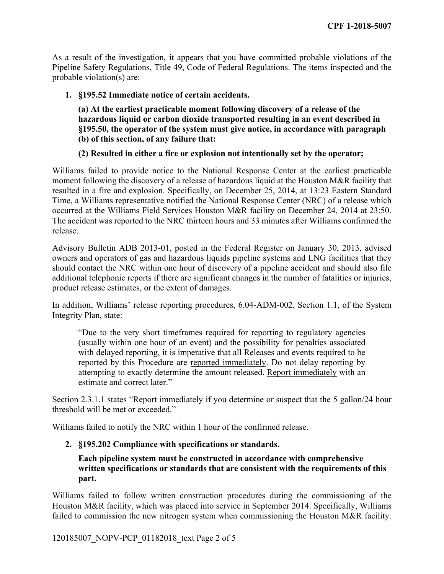As a result of the investigation, it appears that you have committed probable violations of the Pipeline Safety Regulations, Title 49, Code of Federal Regulations. The items inspected and the probable violation(s) are:

**1. §195.52 Immediate notice of certain accidents.**

**(a) At the earliest practicable moment following discovery of a release of the hazardous liquid or carbon dioxide transported resulting in an event described in §195.50, the operator of the system must give notice, in accordance with paragraph (b) of this section, of any failure that:** 

# **(2) Resulted in either a fire or explosion not intentionally set by the operator;**

 Williams failed to provide notice to the National Response Center at the earliest practicable moment following the discovery of a release of hazardous liquid at the Houston M&R facility that resulted in a fire and explosion. Specifically, on December 25, 2014, at 13:23 Eastern Standard Time, a Williams representative notified the National Response Center (NRC) of a release which occurred at the Williams Field Services Houston M&R facility on December 24, 2014 at 23:50. The accident was reported to the NRC thirteen hours and 33 minutes after Williams confirmed the release.

 additional telephonic reports if there are significant changes in the number of fatalities or injuries, Advisory Bulletin ADB 2013-01, posted in the Federal Register on January 30, 2013, advised owners and operators of gas and hazardous liquids pipeline systems and LNG facilities that they should contact the NRC within one hour of discovery of a pipeline accident and should also file product release estimates, or the extent of damages.

In addition, Williams' release reporting procedures, 6.04-ADM-002, Section 1.1, of the System Integrity Plan, state:

"Due to the very short timeframes required for reporting to regulatory agencies (usually within one hour of an event) and the possibility for penalties associated with delayed reporting, it is imperative that all Releases and events required to be reported by this Procedure are reported immediately. Do not delay reporting by attempting to exactly determine the amount released. Report immediately with an estimate and correct later."

Section 2.3.1.1 states "Report immediately if you determine or suspect that the 5 gallon/24 hour threshold will be met or exceeded."

Williams failed to notify the NRC within 1 hour of the confirmed release.

# **2. §195.202 Compliance with specifications or standards.**

## **Each pipeline system must be constructed in accordance with comprehensive written specifications or standards that are consistent with the requirements of this part.**

 Williams failed to follow written construction procedures during the commissioning of the Houston M&R facility, which was placed into service in September 2014. Specifically, Williams failed to commission the new nitrogen system when commissioning the Houston M&R facility.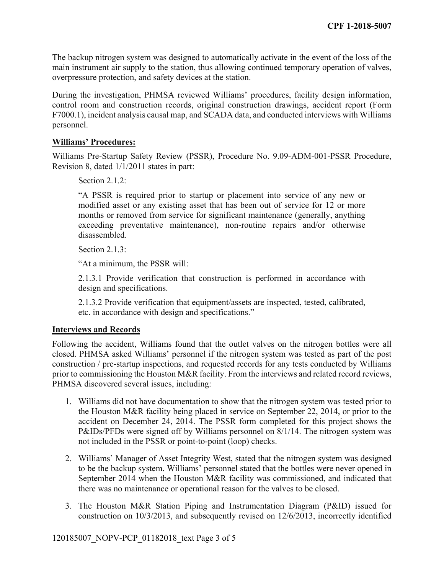The backup nitrogen system was designed to automatically activate in the event of the loss of the main instrument air supply to the station, thus allowing continued temporary operation of valves, overpressure protection, and safety devices at the station.

During the investigation, PHMSA reviewed Williams' procedures, facility design information, control room and construction records, original construction drawings, accident report (Form F7000.1), incident analysis causal map, and SCADA data, and conducted interviews with Williams personnel.

### **Williams' Procedures:**

Williams Pre-Startup Safety Review (PSSR), Procedure No. 9.09-ADM-001-PSSR Procedure, Revision 8, dated 1/1/2011 states in part:

Section 2.1.2:

"A PSSR is required prior to startup or placement into service of any new or modified asset or any existing asset that has been out of service for 12 or more months or removed from service for significant maintenance (generally, anything exceeding preventative maintenance), non-routine repairs and/or otherwise disassembled.

Section 2.1.3:

"At a minimum, the PSSR will:

2.1.3.1 Provide verification that construction is performed in accordance with design and specifications.

 etc. in accordance with design and specifications." 2.1.3.2 Provide verification that equipment/assets are inspected, tested, calibrated,

#### **Interviews and Records**

 Following the accident, Williams found that the outlet valves on the nitrogen bottles were all closed. PHMSA asked Williams' personnel if the nitrogen system was tested as part of the post construction / pre-startup inspections, and requested records for any tests conducted by Williams prior to commissioning the Houston M&R facility. From the interviews and related record reviews, PHMSA discovered several issues, including:

- 1. Williams did not have documentation to show that the nitrogen system was tested prior to accident on December 24, 2014. The PSSR form completed for this project shows the P&IDs/PFDs were signed off by Williams personnel on 8/1/14. The nitrogen system was the Houston M&R facility being placed in service on September 22, 2014, or prior to the not included in the PSSR or point-to-point (loop) checks.
- 2. Williams' Manager of Asset Integrity West, stated that the nitrogen system was designed to be the backup system. Williams' personnel stated that the bottles were never opened in September 2014 when the Houston M&R facility was commissioned, and indicated that there was no maintenance or operational reason for the valves to be closed.
- 3. The Houston M&R Station Piping and Instrumentation Diagram (P&ID) issued for construction on 10/3/2013, and subsequently revised on 12/6/2013, incorrectly identified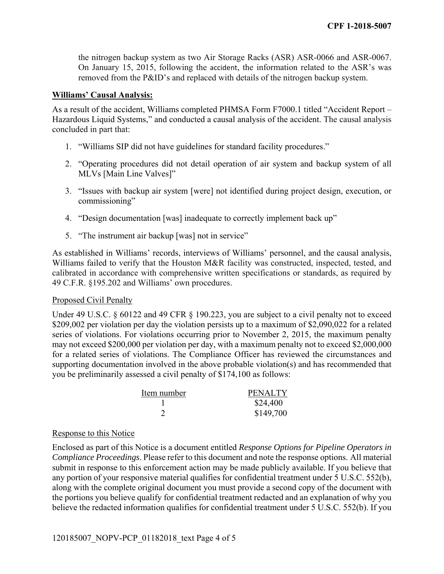removed from the P&ID's and replaced with details of the nitrogen backup system. the nitrogen backup system as two Air Storage Racks (ASR) ASR-0066 and ASR-0067. On January 15, 2015, following the accident, the information related to the ASR's was

#### **Williams' Causal Analysis:**

As a result of the accident, Williams completed PHMSA Form F7000.1 titled "Accident Report – Hazardous Liquid Systems," and conducted a causal analysis of the accident. The causal analysis concluded in part that:

- 1. "Williams SIP did not have guidelines for standard facility procedures."
- 2. "Operating procedures did not detail operation of air system and backup system of all MLVs [Main Line Valves]"
- 3. "Issues with backup air system [were] not identified during project design, execution, or commissioning"
- 4. "Design documentation [was] inadequate to correctly implement back up"
- 5. "The instrument air backup [was] not in service"

 Williams failed to verify that the Houston M&R facility was constructed, inspected, tested, and As established in Williams' records, interviews of Williams' personnel, and the causal analysis, calibrated in accordance with comprehensive written specifications or standards, as required by 49 C.F.R. §195.202 and Williams' own procedures.

#### Proposed Civil Penalty

 may not exceed \$200,000 per violation per day, with a maximum penalty not to exceed \$2,000,000 Under 49 U.S.C. § 60122 and 49 CFR § 190.223, you are subject to a civil penalty not to exceed \$209,002 per violation per day the violation persists up to a maximum of \$2,090,022 for a related series of violations. For violations occurring prior to November 2, 2015, the maximum penalty for a related series of violations. The Compliance Officer has reviewed the circumstances and supporting documentation involved in the above probable violation(s) and has recommended that you be preliminarily assessed a civil penalty of \$174,100 as follows:

| Item number | <b>PENALTY</b> |
|-------------|----------------|
|             | \$24,400       |
|             | \$149,700      |

### Response to this Notice

Enclosed as part of this Notice is a document entitled *Response Options for Pipeline Operators in Compliance Proceedings*. Please refer to this document and note the response options. All material submit in response to this enforcement action may be made publicly available. If you believe that any portion of your responsive material qualifies for confidential treatment under 5 U.S.C. 552(b), along with the complete original document you must provide a second copy of the document with the portions you believe qualify for confidential treatment redacted and an explanation of why you believe the redacted information qualifies for confidential treatment under 5 U.S.C. 552(b). If you